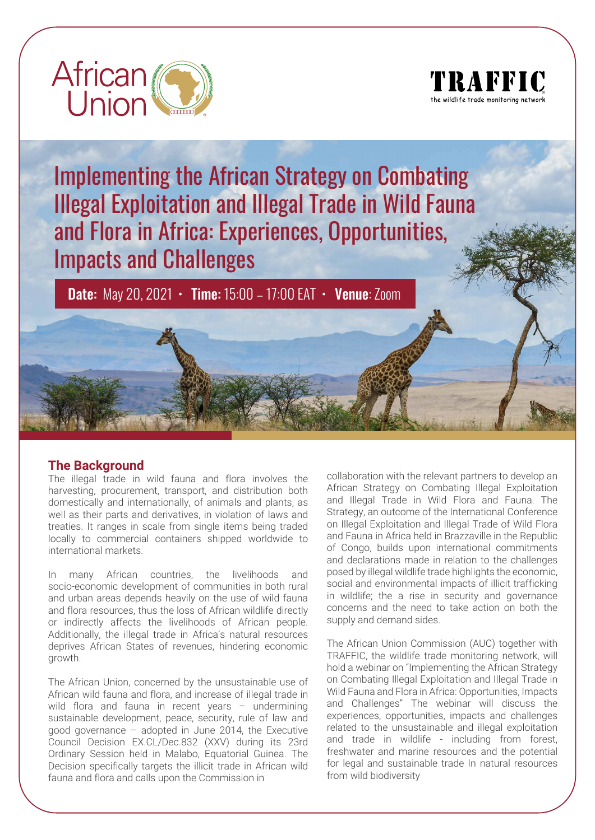



Implementing the African Strategy on Combating Illegal Exploitation and Illegal Trade in Wild Fauna and Flora in Africa: Experiences, Opportunities, Impacts and Challenges

Date: May 20, 2021 • Time: 15:00 – 17:00 EAT • Venue: Zoom

## **The Background**

The illegal trade in wild fauna and flora involves the harvesting, procurement, transport, and distribution both domestically and internationally, of animals and plants, as well as their parts and derivatives, in violation of laws and treaties. It ranges in scale from single items being traded locally to commercial containers shipped worldwide to international markets.

In many African countries, the livelihoods and socio-economic development of communities in both rural and urban areas depends heavily on the use of wild fauna and flora resources, thus the loss of African wildlife directly or indirectly affects the livelihoods of African people. Additionally, the illegal trade in Africa's natural resources deprives African States of revenues, hindering economic growth.

The African Union, concerned by the unsustainable use of African wild fauna and flora, and increase of illegal trade in wild flora and fauna in recent years - undermining sustainable development, peace, security, rule of law and good governance – adopted in June 2014, the Executive Council Decision EX.CL/Dec.832 (XXV) during its 23rd Ordinary Session held in Malabo, Equatorial Guinea. The Decision specifically targets the illicit trade in African wild fauna and flora and calls upon the Commission in

collaboration with the relevant partners to develop an African Strategy on Combating Illegal Exploitation and Illegal Trade in Wild Flora and Fauna. The Strategy, an outcome of the International Conference on Illegal Exploitation and Illegal Trade of Wild Flora and Fauna in Africa held in Brazzaville in the Republic of Congo, builds upon international commitments and declarations made in relation to the challenges posed by illegal wildlife trade highlights the economic, social and environmental impacts of illicit trafficking in wildlife; the a rise in security and governance concerns and the need to take action on both the supply and demand sides.

The African Union Commission (AUC) together with TRAFFIC, the wildlife trade monitoring network, will hold a webinar on "Implementing the African Strategy on Combating Illegal Exploitation and Illegal Trade in Wild Fauna and Flora in Africa: Opportunities, Impacts and Challenges" The webinar will discuss the experiences, opportunities, impacts and challenges related to the unsustainable and illegal exploitation and trade in wildlife - including from forest, freshwater and marine resources and the potential for legal and sustainable trade In natural resources from wild biodiversity